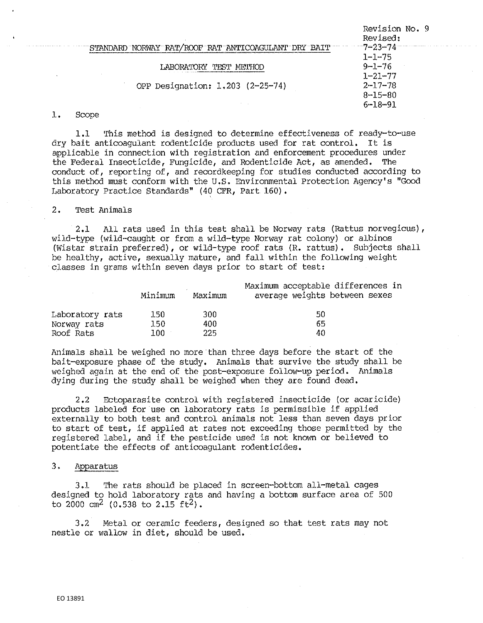|                                                     | Revision No. 9<br>Revised: |
|-----------------------------------------------------|----------------------------|
| STANDARD NORWAY RAT/ROOF RAT ANTICOAGULANT DRY BAIT |                            |
|                                                     | $1 - 1 - 75$               |
| LABORATORY                                          | $9 - 1 - 76$               |
|                                                     | $1 - 21 - 77$              |
| OPP Designation: 1.203 (2-25-74)                    | $2 - 17 - 78$              |
|                                                     | $8 - 15 - 80$              |
|                                                     | $6 - 18 - 91$              |
|                                                     |                            |

### 1, Scope

1.1 This method is designed to determine effectiveness of ready-to-use dry bait anticoagulant rodenticide products used for rat control. It is applicable in connection with registration and enforcement procedures under the Federal Insecticide, Fungicide, and Rodenticide Act, as amended. The conduct of, reporting of, and recordkeeping for studies conducted according to this method must conform with the U.S. Environmental Protection Agency's "Good Laboratory Practice Standards" (40 CFR, Part 160),

## 2. Test Animals

2.1 All rats used in this test shall be Norway rats (Rattus norvegicus), wild-type (wild-caught or from a wild-type Norway rat colony) or albinos (Wistar strain preferred), or wild-type roof rats (R. rattus). Subjects shall be healthy, active, sexually mature, and fall within the following weight classes in grams within seven days prior to start of test:

|                 | Minimum | Maximum | Maximum acceptable differences in<br>average weights between sexes |
|-----------------|---------|---------|--------------------------------------------------------------------|
| Laboratory rats | 150.    | 300     | 50                                                                 |
| Norway rats     | 150     | 400.    | 65                                                                 |
| Roof Rats       | 100.    | 225     | 40                                                                 |

Animals shall be weighed no more than three days before the start of the bait-exposure phase of the study. Animals that survive the study shall be weighed again at the end of the post-exposure follow-up period. Animals dying during the study shall be weighed when they are found dead,

2 ,2 Ectoparasite control with registered insecticide (or acaricide) products labeled for use on laboratory rats is permissible if applied externally to both test and control animals not less than seven days prior to start of test, if applied at rates not exceeding those permitted by the registered label, and if the pesticide used is not known or believed to potentiate the effects of anticoagulant rodenticides.

# 3. Apparatus

3.1 The rats should be placed in screen-bottom all-metal cages designed to hold laboratory rats and having a bottom surface area of 500 to 2000 cm<sup>2</sup> (0.538 to 2.15 ft<sup>2</sup>).

3.2 Metal or ceramic feeders, designed so that test rats may not nestle or wallow in diet, should be used.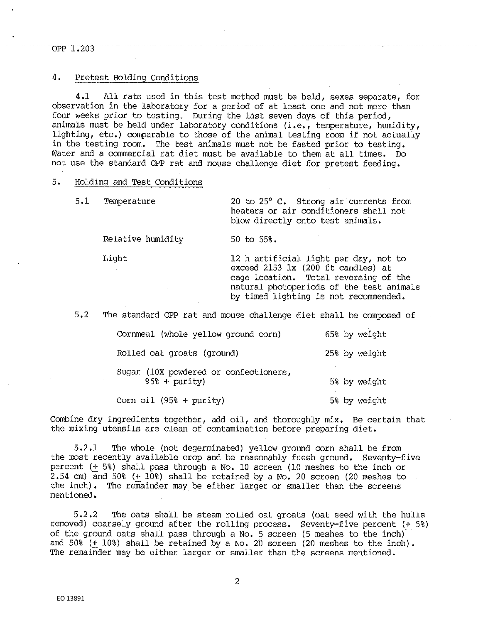## OPP 1.203

# 4. Pretest Holding Conditions

4,1 All rats used in this test method must be held, sexes separate, for observation in the laboratory for a period of at least one and not more than four weeks prior to testing. During the last seven days of this period, animals must be held under laboratory conditions (i.e., temperature, humidity, lighting, etc.) comparable to those of the animal testing room if not actually in the testing room, The test animals must not be fasted prior to testing, Water and a commercial rat diet must be available to them at all times, Do not use the standard OPP rat and mouse challenge diet for pretest feeding,

#### 5, Holding and Test Conditions

| 5.1 Temperature |  |  |                                  |  | 20 to 25° C. Strong air currents from |  |
|-----------------|--|--|----------------------------------|--|---------------------------------------|--|
|                 |  |  |                                  |  | heaters or air conditioners shall not |  |
|                 |  |  | blow directly onto test animals. |  |                                       |  |

Relative humidity 50 to 55%.

Light 12 h artificial light per day, not to exceed 2153 lx (200 ft candles) at cage location. Total reversing of the natural photoperiods of the test animals by timed lighting is not recommended.

5,2 The standard OPP rat and mouse challenge diet shall be composed of

| Cornmeal (whole yellow ground corn)                      | 65% by weight |
|----------------------------------------------------------|---------------|
| Rolled oat groats (ground)                               | 25% by weight |
| Sugar (10X powdered or confectioners,<br>$958 + purity)$ | 5% by weight  |
| Corn oil $(958 + purity)$                                | 5% by weight  |

Combine dry ingredients together, add oil, and thoroughly mix. Be certain that the mixing utensils are clean of contamination before preparing diet,

5.2.l. 'I'he whole (not degerminated) yellow ground corn shall be from the most recently available crop and be reasonably fresh ground. Seventy-five percent (+ 5%) shall pass through a No, 10 screen (J.O meshes to the inch or 2,54 cm) and 50% (+ 10%) shall be retained by a No. 20 screen (20 meshes to the inch), The remainder may be either larger or smaller than the screens mentioned,

5.2,2 The oats shall be steam rolled oat groats (oat seed with the hulls removed) coarsely ground after. the rolling process. Seventy-five percent (+ 5%) of the ground oats shall pass through a No. 5 screen (5 meshes to the inch) and 50% (+ 10%) shall be retained by a No. 20 screen (20 meshes to the inch). The remainder may be either larger or smaller than the screens mentioned.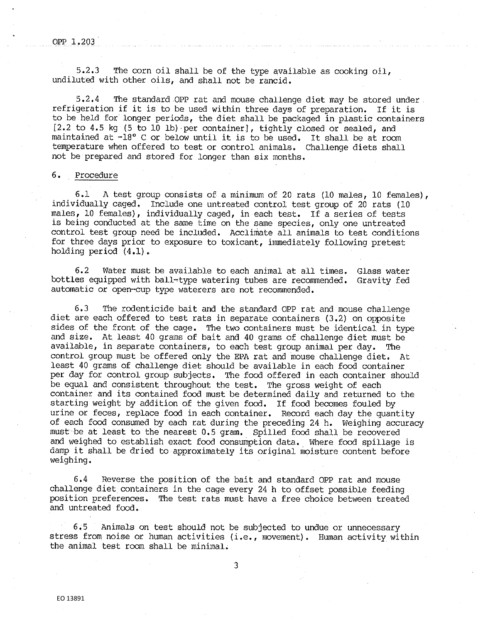#### OPP 1.203

5.2.3 The corn oil shall be of the type available as cooking oil, undiluted with other oils, and shall not be rancid.

5.2.4 The standard OPP rat and mouse challenge diet may be stored under refrigeration if it is to be used within three days of preparation. If it is to be held for longer periods, the diet shall be packaged in plastic containers (2.2 to 4.5 kg (5 to 10 lb) ·per container], tightly closed or sealed, and maintained at -18° c or below until it is to be used, It shall be at room temperature when offered to test or control animals. Challenge diets shall not be prepared and stored for longer than six months.

### 6. Procedure

6.1 A test group consists of a minimum of 20 rats (10 males, 10 females), individually caged, Include one untreated control test group of 20 rats (10 males, 10 females), individually caged, in each test. If a series of tests is being conducted at the same time on the same species, only one untreated control test group need be included. Acclimate all animals to test conditions for three days prior to exposure to toxicant, immediately following pretest holding period (4,1).

6.2 Water must be available to each animal at all times. Glass water bottles equipped with ball~type watering tubes are recommended. Gravity fed automatic or open-cup type waterers are not recommended.

6,3 The rodenticide bait and the standard OPP rat and mouse challenge diet are each offered to test rats in separate containers (3,2) on opposite sides of the front of the cage. The two containers must be identical in type and size. At. least 40 grams of bait and 40 grams of challenge diet must be available, in separate containers, to each test group animal per day. The control group must be offered only the EPA rat and mouse challenge diet. At least 40 grams of challenge diet should be available in each food container per day for control group subjects. The food offered in each container should be equal and consistent throughout the test. The gross weight of each container and its contained food must be determined daily and returned to the starting weight by addition of the given food. If food becomes fouled by urine or feces, replace food in each container. Record each day the quantity of each food consumed by each rat during the preceding 24 h. Weighing accuracy must be at least to the nearest 0,5 gram. Spilled food shall be recovered and weighed to establish exact food consumption data. Where food spillage is damp it shall be dried to approximately its original moisture content before weighing.

6.4 Reverse the position of the bait and standard OPP rat and mouse challenge diet containers in the cage every 24 h to offset possible feeding position preferences. The test rats must have a free choice between treated and untreated food.

6.5 Animals on test should not be subjected to undue or unnecessary stress from noise or human activities (i.e., movement). Human activity within the animal test room shall be minimal.

3